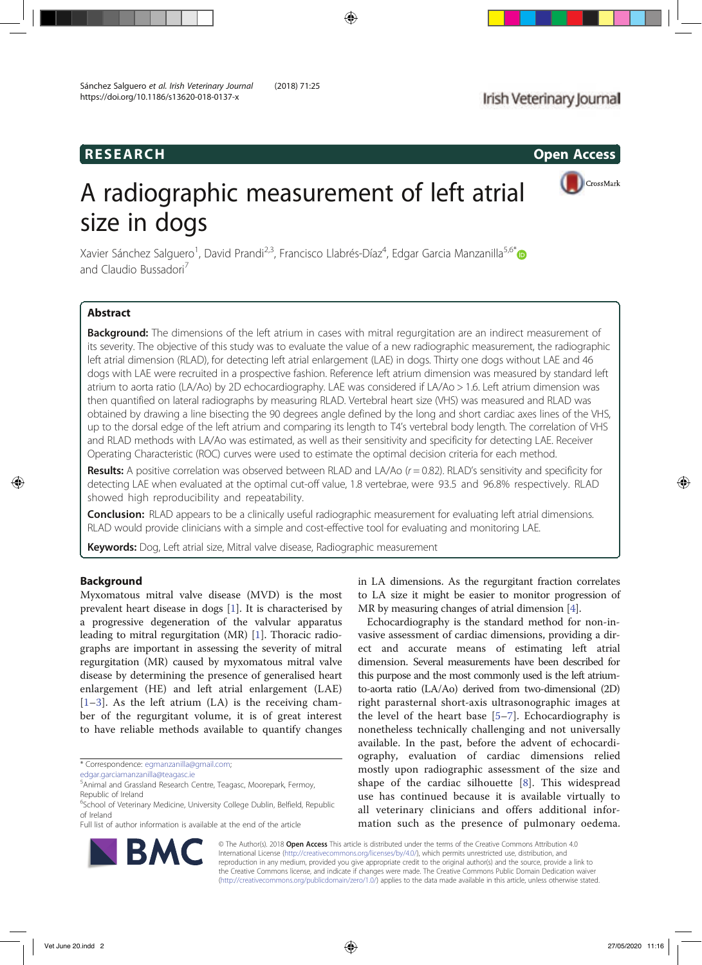## RESEARCH **Open Access**

CrossMark

# A radiographic measurement of left atrial size in dogs

Xavier Sánchez Salguero<sup>1</sup>, David Prandi<sup>2,3</sup>, Francisco Llabrés-Díaz<sup>4</sup>, Edgar Garcia Manzanilla<sup>5,6\*</sup> and Claudio Bussadori<sup>7</sup>

### Abstract

Background: The dimensions of the left atrium in cases with mitral requrgitation are an indirect measurement of its severity. The objective of this study was to evaluate the value of a new radiographic measurement, the radiographic left atrial dimension (RLAD), for detecting left atrial enlargement (LAE) in dogs. Thirty one dogs without LAE and 46 dogs with LAE were recruited in a prospective fashion. Reference left atrium dimension was measured by standard left atrium to aorta ratio (LA/Ao) by 2D echocardiography. LAE was considered if LA/Ao > 1.6. Left atrium dimension was then quantified on lateral radiographs by measuring RLAD. Vertebral heart size (VHS) was measured and RLAD was obtained by drawing a line bisecting the 90 degrees angle defined by the long and short cardiac axes lines of the VHS, up to the dorsal edge of the left atrium and comparing its length to T4's vertebral body length. The correlation of VHS and RLAD methods with LA/Ao was estimated, as well as their sensitivity and specificity for detecting LAE. Receiver Operating Characteristic (ROC) curves were used to estimate the optimal decision criteria for each method.

Results: A positive correlation was observed between RLAD and LA/Ao  $(r = 0.82)$ . RLAD's sensitivity and specificity for detecting LAE when evaluated at the optimal cut-off value, 1.8 vertebrae, were 93.5 and 96.8% respectively. RLAD showed high reproducibility and repeatability.

Conclusion: RLAD appears to be a clinically useful radiographic measurement for evaluating left atrial dimensions. RLAD would provide clinicians with a simple and cost-effective tool for evaluating and monitoring LAE.

Keywords: Dog, Left atrial size, Mitral valve disease, Radiographic measurement

#### **Background**

Myxomatous mitral valve disease (MVD) is the most prevalent heart disease in dogs [1]. It is characterised by a progressive degeneration of the valvular apparatus leading to mitral regurgitation (MR) [1]. Thoracic radiographs are important in assessing the severity of mitral regurgitation (MR) caused by myxomatous mitral valve disease by determining the presence of generalised heart enlargement (HE) and left atrial enlargement (LAE)  $[1-3]$ . As the left atrium  $(LA)$  is the receiving chamber of the regurgitant volume, it is of great interest to have reliable methods available to quantify changes



Echocardiography is the standard method for non-invasive assessment of cardiac dimensions, providing a direct and accurate means of estimating left atrial dimension. Several measurements have been described for this purpose and the most commonly used is the left atriumto-aorta ratio (LA/Ao) derived from two-dimensional (2D) right parasternal short-axis ultrasonographic images at the level of the heart base [5–7]. Echocardiography is nonetheless technically challenging and not universally available. In the past, before the advent of echocardiography, evaluation of cardiac dimensions relied mostly upon radiographic assessment of the size and shape of the cardiac silhouette [8]. This widespread use has continued because it is available virtually to all veterinary clinicians and offers additional information such as the presence of pulmonary oedema.



© The Author(s). 2018 Open Access This article is distributed under the terms of the Creative Commons Attribution 4.0 International License (http://creativecommons.org/licenses/by/4.0/), which permits unrestricted use, distribution, and reproduction in any medium, provided you give appropriate credit to the original author(s) and the source, provide a link to the Creative Commons license, and indicate if changes were made. The Creative Commons Public Domain Dedication waiver (http://creativecommons.org/publicdomain/zero/1.0/) applies to the data made available in this article, unless otherwise stated.

<sup>\*</sup> Correspondence: egmanzanilla@gmail.com;

edgar.garciamanzanilla@teagasc.ie

<sup>5</sup> Animal and Grassland Research Centre, Teagasc, Moorepark, Fermoy, Republic of Ireland

<sup>&</sup>lt;sup>6</sup>School of Veterinary Medicine, University College Dublin, Belfield, Republic of Ireland

Full list of author information is available at the end of the article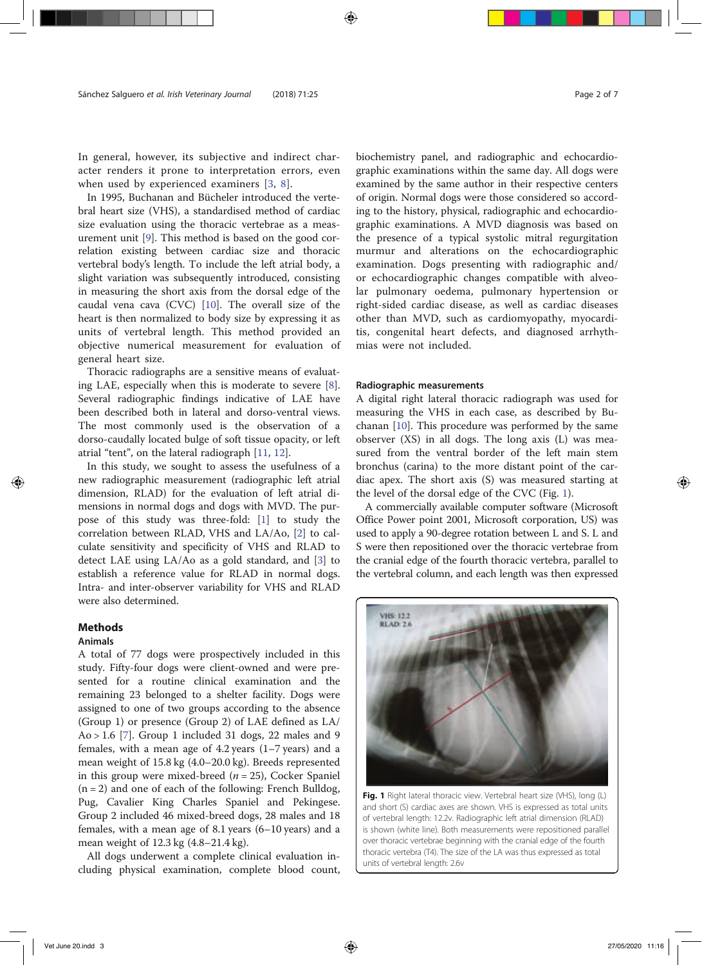In general, however, its subjective and indirect character renders it prone to interpretation errors, even when used by experienced examiners [3, 8].

In 1995, Buchanan and Bücheler introduced the vertebral heart size (VHS), a standardised method of cardiac size evaluation using the thoracic vertebrae as a measurement unit [9]. This method is based on the good correlation existing between cardiac size and thoracic vertebral body's length. To include the left atrial body, a slight variation was subsequently introduced, consisting in measuring the short axis from the dorsal edge of the caudal vena cava (CVC) [10]. The overall size of the heart is then normalized to body size by expressing it as units of vertebral length. This method provided an objective numerical measurement for evaluation of general heart size.

Thoracic radiographs are a sensitive means of evaluating LAE, especially when this is moderate to severe [8]. Several radiographic findings indicative of LAE have been described both in lateral and dorso-ventral views. The most commonly used is the observation of a dorso-caudally located bulge of soft tissue opacity, or left atrial "tent", on the lateral radiograph [11, 12].

In this study, we sought to assess the usefulness of a new radiographic measurement (radiographic left atrial dimension, RLAD) for the evaluation of left atrial dimensions in normal dogs and dogs with MVD. The purpose of this study was three-fold: [1] to study the correlation between RLAD, VHS and LA/Ao, [2] to calculate sensitivity and specificity of VHS and RLAD to detect LAE using LA/Ao as a gold standard, and [3] to establish a reference value for RLAD in normal dogs. Intra- and inter-observer variability for VHS and RLAD were also determined.

#### **Methods**

#### Animals

A total of 77 dogs were prospectively included in this study. Fifty-four dogs were client-owned and were presented for a routine clinical examination and the remaining 23 belonged to a shelter facility. Dogs were assigned to one of two groups according to the absence (Group 1) or presence (Group 2) of LAE defined as LA/  $Ao > 1.6$  [7]. Group 1 included 31 dogs, 22 males and 9 females, with a mean age of 4.2 years (1–7 years) and a mean weight of 15.8 kg (4.0–20.0 kg). Breeds represented in this group were mixed-breed ( $n = 25$ ), Cocker Spaniel  $(n = 2)$  and one of each of the following: French Bulldog, Pug, Cavalier King Charles Spaniel and Pekingese. Group 2 included 46 mixed-breed dogs, 28 males and 18 females, with a mean age of 8.1 years (6–10 years) and a mean weight of 12.3 kg (4.8–21.4 kg).

All dogs underwent a complete clinical evaluation including physical examination, complete blood count, biochemistry panel, and radiographic and echocardiographic examinations within the same day. All dogs were examined by the same author in their respective centers of origin. Normal dogs were those considered so according to the history, physical, radiographic and echocardio-

graphic examinations. A MVD diagnosis was based on the presence of a typical systolic mitral regurgitation murmur and alterations on the echocardiographic examination. Dogs presenting with radiographic and/ or echocardiographic changes compatible with alveolar pulmonary oedema, pulmonary hypertension or right-sided cardiac disease, as well as cardiac diseases other than MVD, such as cardiomyopathy, myocarditis, congenital heart defects, and diagnosed arrhythmias were not included.

#### Radiographic measurements

A digital right lateral thoracic radiograph was used for measuring the VHS in each case, as described by Buchanan [10]. This procedure was performed by the same observer (XS) in all dogs. The long axis (L) was measured from the ventral border of the left main stem bronchus (carina) to the more distant point of the cardiac apex. The short axis (S) was measured starting at the level of the dorsal edge of the CVC (Fig. 1).

A commercially available computer software (Microsoft Office Power point 2001, Microsoft corporation, US) was used to apply a 90-degree rotation between L and S. L and S were then repositioned over the thoracic vertebrae from the cranial edge of the fourth thoracic vertebra, parallel to the vertebral column, and each length was then expressed



Fig. 1 Right lateral thoracic view. Vertebral heart size (VHS), long (L) and short (S) cardiac axes are shown. VHS is expressed as total units of vertebral length: 12.2v. Radiographic left atrial dimension (RLAD) is shown (white line). Both measurements were repositioned parallel over thoracic vertebrae beginning with the cranial edge of the fourth thoracic vertebra (T4). The size of the LA was thus expressed as total units of vertebral length: 2.6v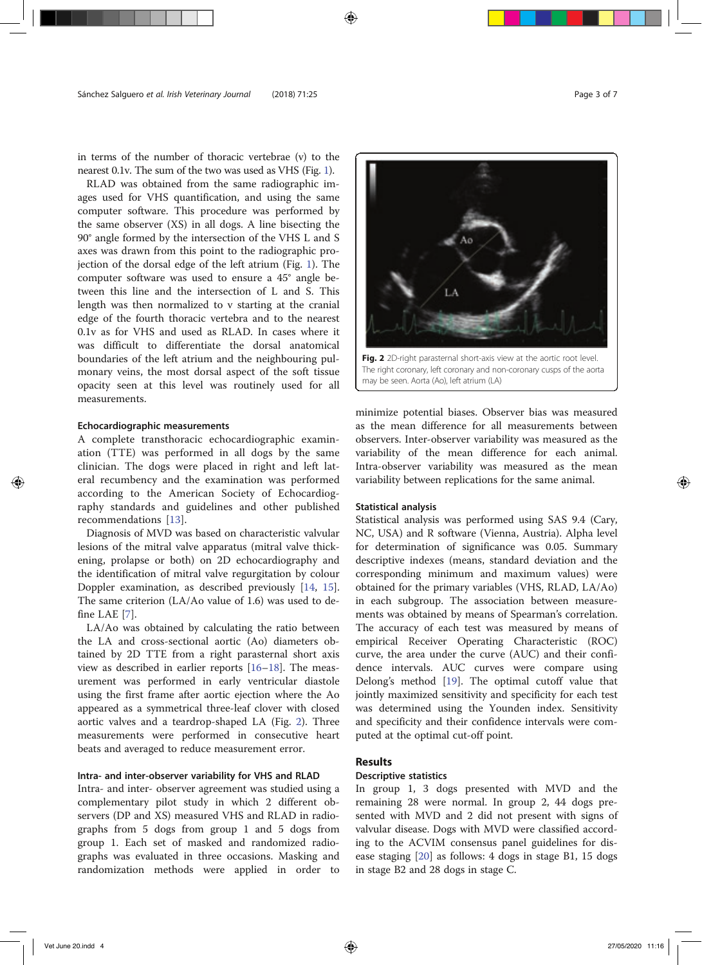in terms of the number of thoracic vertebrae (v) to the nearest 0.1v. The sum of the two was used as VHS (Fig. 1).

RLAD was obtained from the same radiographic images used for VHS quantification, and using the same computer software. This procedure was performed by the same observer (XS) in all dogs. A line bisecting the 90° angle formed by the intersection of the VHS L and S axes was drawn from this point to the radiographic projection of the dorsal edge of the left atrium (Fig. 1). The computer software was used to ensure a 45° angle between this line and the intersection of L and S. This length was then normalized to v starting at the cranial edge of the fourth thoracic vertebra and to the nearest 0.1v as for VHS and used as RLAD. In cases where it was difficult to differentiate the dorsal anatomical boundaries of the left atrium and the neighbouring pulmonary veins, the most dorsal aspect of the soft tissue opacity seen at this level was routinely used for all measurements.

#### Echocardiographic measurements

A complete transthoracic echocardiographic examination (TTE) was performed in all dogs by the same clinician. The dogs were placed in right and left lateral recumbency and the examination was performed according to the American Society of Echocardiography standards and guidelines and other published recommendations [13].

Diagnosis of MVD was based on characteristic valvular lesions of the mitral valve apparatus (mitral valve thickening, prolapse or both) on 2D echocardiography and the identification of mitral valve regurgitation by colour Doppler examination, as described previously [14, 15]. The same criterion (LA/Ao value of 1.6) was used to define LAE [7].

LA/Ao was obtained by calculating the ratio between the LA and cross-sectional aortic (Ao) diameters obtained by 2D TTE from a right parasternal short axis view as described in earlier reports [16–18]. The measurement was performed in early ventricular diastole using the first frame after aortic ejection where the Ao appeared as a symmetrical three-leaf clover with closed aortic valves and a teardrop-shaped LA (Fig. 2). Three measurements were performed in consecutive heart beats and averaged to reduce measurement error.

#### Intra- and inter-observer variability for VHS and RLAD

Intra- and inter- observer agreement was studied using a complementary pilot study in which 2 different observers (DP and XS) measured VHS and RLAD in radiographs from 5 dogs from group 1 and 5 dogs from group 1. Each set of masked and randomized radiographs was evaluated in three occasions. Masking and randomization methods were applied in order to



The right coronary, left coronary and non-coronary cusps of the aorta may be seen. Aorta (Ao), left atrium (LA)

minimize potential biases. Observer bias was measured as the mean difference for all measurements between observers. Inter-observer variability was measured as the variability of the mean difference for each animal. Intra-observer variability was measured as the mean variability between replications for the same animal.

#### Statistical analysis

Statistical analysis was performed using SAS 9.4 (Cary, NC, USA) and R software (Vienna, Austria). Alpha level for determination of significance was 0.05. Summary descriptive indexes (means, standard deviation and the corresponding minimum and maximum values) were obtained for the primary variables (VHS, RLAD, LA/Ao) in each subgroup. The association between measurements was obtained by means of Spearman's correlation. The accuracy of each test was measured by means of empirical Receiver Operating Characteristic (ROC) curve, the area under the curve (AUC) and their confidence intervals. AUC curves were compare using Delong's method [19]. The optimal cutoff value that jointly maximized sensitivity and specificity for each test was determined using the Younden index. Sensitivity and specificity and their confidence intervals were computed at the optimal cut-off point.

#### **Results**

#### Descriptive statistics

In group 1, 3 dogs presented with MVD and the remaining 28 were normal. In group 2, 44 dogs presented with MVD and 2 did not present with signs of valvular disease. Dogs with MVD were classified according to the ACVIM consensus panel guidelines for disease staging [20] as follows: 4 dogs in stage B1, 15 dogs in stage B2 and 28 dogs in stage C.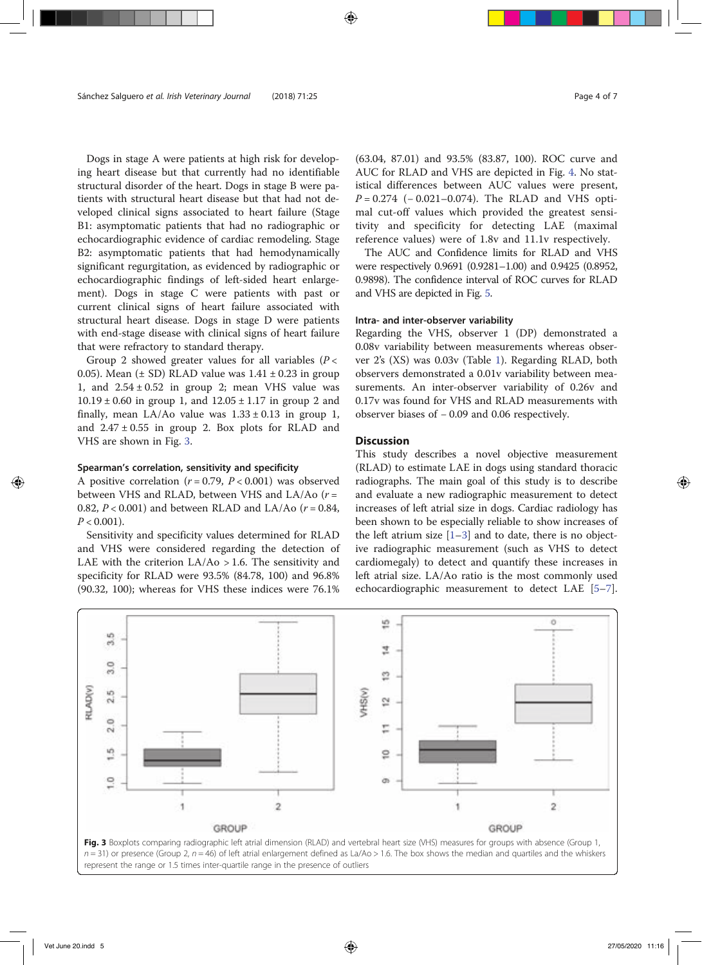Dogs in stage A were patients at high risk for developing heart disease but that currently had no identifiable structural disorder of the heart. Dogs in stage B were patients with structural heart disease but that had not developed clinical signs associated to heart failure (Stage B1: asymptomatic patients that had no radiographic or echocardiographic evidence of cardiac remodeling. Stage B2: asymptomatic patients that had hemodynamically significant regurgitation, as evidenced by radiographic or echocardiographic findings of left-sided heart enlargement). Dogs in stage C were patients with past or current clinical signs of heart failure associated with structural heart disease. Dogs in stage D were patients with end-stage disease with clinical signs of heart failure that were refractory to standard therapy.

Group 2 showed greater values for all variables ( $P <$ 0.05). Mean  $(\pm$  SD) RLAD value was  $1.41 \pm 0.23$  in group 1, and  $2.54 \pm 0.52$  in group 2; mean VHS value was  $10.19 \pm 0.60$  in group 1, and  $12.05 \pm 1.17$  in group 2 and finally, mean LA/Ao value was  $1.33 \pm 0.13$  in group 1, and  $2.47 \pm 0.55$  in group 2. Box plots for RLAD and VHS are shown in Fig. 3.

#### Spearman's correlation, sensitivity and specificity

A positive correlation ( $r = 0.79$ ,  $P < 0.001$ ) was observed between VHS and RLAD, between VHS and LA/Ao  $(r =$ 0.82,  $P < 0.001$ ) and between RLAD and LA/Ao ( $r = 0.84$ ,  $P < 0.001$ ).

Sensitivity and specificity values determined for RLAD and VHS were considered regarding the detection of LAE with the criterion  $LA/Ao > 1.6$ . The sensitivity and specificity for RLAD were 93.5% (84.78, 100) and 96.8% (90.32, 100); whereas for VHS these indices were 76.1%

(63.04, 87.01) and 93.5% (83.87, 100). ROC curve and AUC for RLAD and VHS are depicted in Fig. 4. No statistical differences between AUC values were present,  $P = 0.274$  (-0.021–0.074). The RLAD and VHS optimal cut-off values which provided the greatest sensitivity and specificity for detecting LAE (maximal reference values) were of 1.8v and 11.1v respectively.

The AUC and Confidence limits for RLAD and VHS were respectively 0.9691 (0.9281–1.00) and 0.9425 (0.8952, 0.9898). The confidence interval of ROC curves for RLAD and VHS are depicted in Fig. 5.

#### Intra- and inter-observer variability

Regarding the VHS, observer 1 (DP) demonstrated a 0.08v variability between measurements whereas observer 2's (XS) was 0.03v (Table 1). Regarding RLAD, both observers demonstrated a 0.01v variability between measurements. An inter-observer variability of 0.26v and 0.17v was found for VHS and RLAD measurements with observer biases of − 0.09 and 0.06 respectively.

#### **Discussion**

This study describes a novel objective measurement (RLAD) to estimate LAE in dogs using standard thoracic radiographs. The main goal of this study is to describe and evaluate a new radiographic measurement to detect increases of left atrial size in dogs. Cardiac radiology has been shown to be especially reliable to show increases of the left atrium size  $[1-3]$  and to date, there is no objective radiographic measurement (such as VHS to detect cardiomegaly) to detect and quantify these increases in left atrial size. LA/Ao ratio is the most commonly used echocardiographic measurement to detect LAE [5–7].



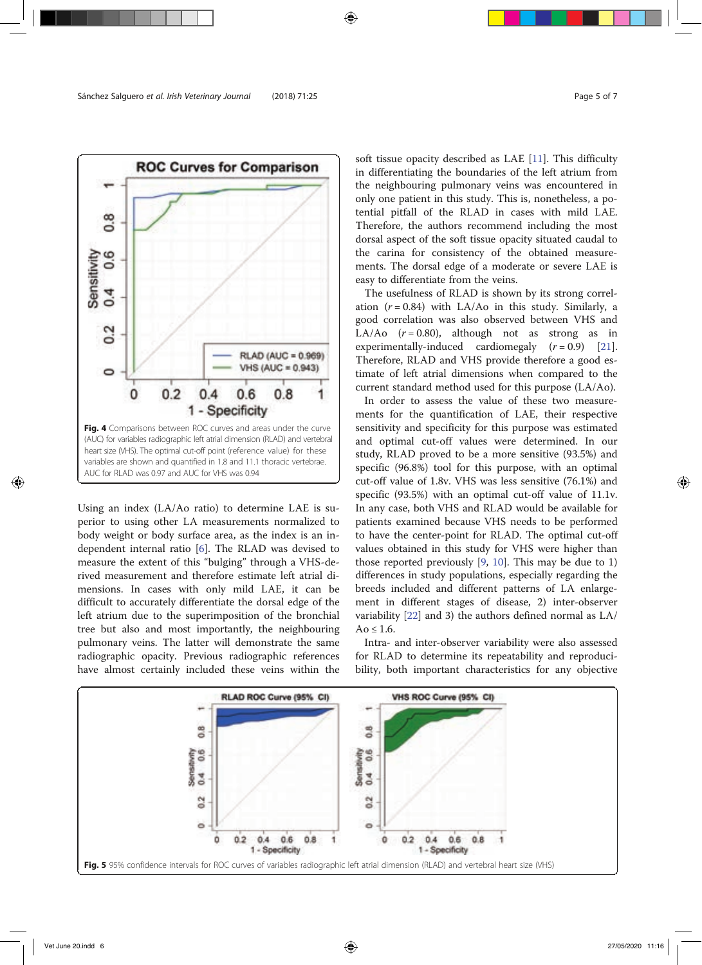

Using an index (LA/Ao ratio) to determine LAE is superior to using other LA measurements normalized to body weight or body surface area, as the index is an independent internal ratio [6]. The RLAD was devised to measure the extent of this "bulging" through a VHS-derived measurement and therefore estimate left atrial dimensions. In cases with only mild LAE, it can be difficult to accurately differentiate the dorsal edge of the left atrium due to the superimposition of the bronchial tree but also and most importantly, the neighbouring pulmonary veins. The latter will demonstrate the same radiographic opacity. Previous radiographic references have almost certainly included these veins within the soft tissue opacity described as LAE [11]. This difficulty in differentiating the boundaries of the left atrium from the neighbouring pulmonary veins was encountered in only one patient in this study. This is, nonetheless, a potential pitfall of the RLAD in cases with mild LAE. Therefore, the authors recommend including the most dorsal aspect of the soft tissue opacity situated caudal to the carina for consistency of the obtained measurements. The dorsal edge of a moderate or severe LAE is easy to differentiate from the veins.

The usefulness of RLAD is shown by its strong correlation  $(r = 0.84)$  with LA/Ao in this study. Similarly, a good correlation was also observed between VHS and LA/Ao  $(r = 0.80)$ , although not as strong as in experimentally-induced cardiomegaly  $(r = 0.9)$  [21]. Therefore, RLAD and VHS provide therefore a good estimate of left atrial dimensions when compared to the current standard method used for this purpose (LA/Ao).

In order to assess the value of these two measurements for the quantification of LAE, their respective sensitivity and specificity for this purpose was estimated and optimal cut-off values were determined. In our study, RLAD proved to be a more sensitive (93.5%) and specific (96.8%) tool for this purpose, with an optimal cut-off value of 1.8v. VHS was less sensitive (76.1%) and specific (93.5%) with an optimal cut-off value of 11.1v. In any case, both VHS and RLAD would be available for patients examined because VHS needs to be performed to have the center-point for RLAD. The optimal cut-off values obtained in this study for VHS were higher than those reported previously  $[9, 10]$ . This may be due to 1) differences in study populations, especially regarding the breeds included and different patterns of LA enlargement in different stages of disease, 2) inter-observer variability [22] and 3) the authors defined normal as LA/  $Ao \leq 1.6$ .



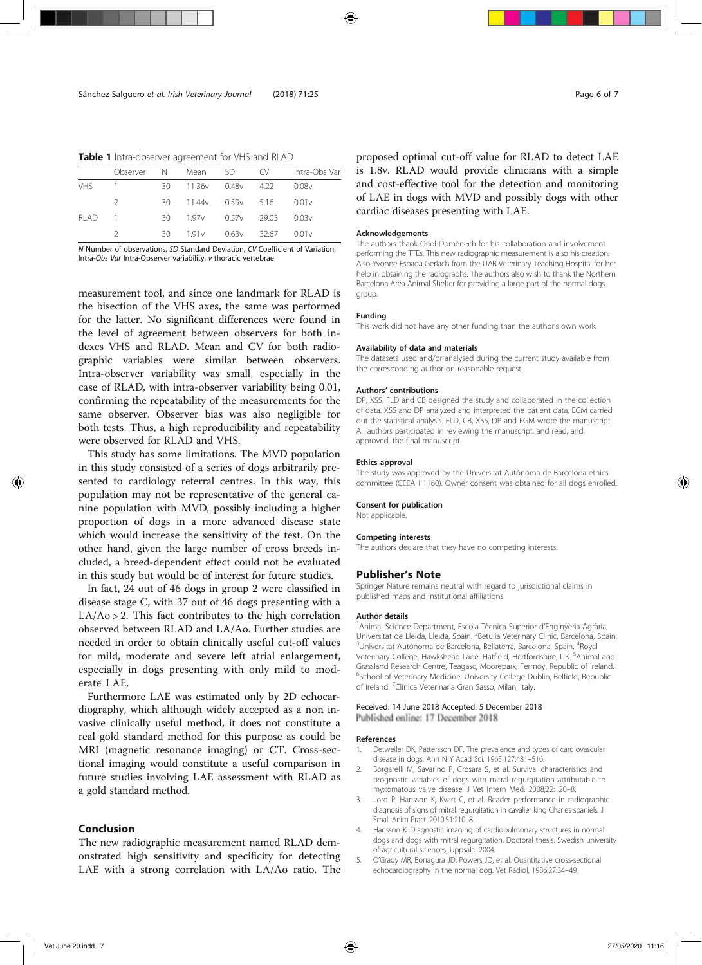|            | Observer N |     | Mean               | -SD -             | CV - | Intra-Obs Var |
|------------|------------|-----|--------------------|-------------------|------|---------------|
| <b>VHS</b> |            | 30. |                    | 11.36y 0.48y 4.22 |      | 0.08v         |
|            |            | 30. | 11.44 <sub>V</sub> | 0.59v             | 5.16 | 0.01v         |

RLAD 1 30 1.97v 0.57v 29.03 0.03v

#### Table 1 Intra-observer agreement for VHS and RLAD

N Number of observations, SD Standard Deviation, CV Coefficient of Variation, Intra-Obs Var Intra-Observer variability, v thoracic vertebrae

2 30 1.91v 0.63v 32.67 0.01v

measurement tool, and since one landmark for RLAD is the bisection of the VHS axes, the same was performed for the latter. No significant differences were found in the level of agreement between observers for both indexes VHS and RLAD. Mean and CV for both radiographic variables were similar between observers. Intra-observer variability was small, especially in the case of RLAD, with intra-observer variability being 0.01, confirming the repeatability of the measurements for the same observer. Observer bias was also negligible for both tests. Thus, a high reproducibility and repeatability were observed for RLAD and VHS.

This study has some limitations. The MVD population in this study consisted of a series of dogs arbitrarily presented to cardiology referral centres. In this way, this population may not be representative of the general canine population with MVD, possibly including a higher proportion of dogs in a more advanced disease state which would increase the sensitivity of the test. On the other hand, given the large number of cross breeds included, a breed-dependent effect could not be evaluated in this study but would be of interest for future studies.

In fact, 24 out of 46 dogs in group 2 were classified in disease stage C, with 37 out of 46 dogs presenting with a LA/Ao > 2. This fact contributes to the high correlation observed between RLAD and LA/Ao. Further studies are needed in order to obtain clinically useful cut-off values for mild, moderate and severe left atrial enlargement, especially in dogs presenting with only mild to moderate LAE.

Furthermore LAE was estimated only by 2D echocardiography, which although widely accepted as a non invasive clinically useful method, it does not constitute a real gold standard method for this purpose as could be MRI (magnetic resonance imaging) or CT. Cross-sectional imaging would constitute a useful comparison in future studies involving LAE assessment with RLAD as a gold standard method.

#### Conclusion

The new radiographic measurement named RLAD demonstrated high sensitivity and specificity for detecting LAE with a strong correlation with LA/Ao ratio. The

proposed optimal cut-off value for RLAD to detect LAE is 1.8v. RLAD would provide clinicians with a simple and cost-effective tool for the detection and monitoring of LAE in dogs with MVD and possibly dogs with other cardiac diseases presenting with LAE.

#### Acknowledgements

The authors thank Oriol Domènech for his collaboration and involvement performing the TTEs. This new radiographic measurement is also his creation. Also Yvonne Espada Gerlach from the UAB Veterinary Teaching Hospital for her help in obtaining the radiographs. The authors also wish to thank the Northern Barcelona Area Animal Shelter for providing a large part of the normal dogs group.

#### Funding

This work did not have any other funding than the author's own work.

#### Availability of data and materials

The datasets used and/or analysed during the current study available from the corresponding author on reasonable request.

#### Authors' contributions

DP, XSS, FLD and CB designed the study and collaborated in the collection of data. XSS and DP analyzed and interpreted the patient data. EGM carried out the statistical analysis. FLD, CB, XSS, DP and EGM wrote the manuscript. All authors participated in reviewing the manuscript, and read, and approved, the final manuscript.

#### Ethics approval

The study was approved by the Universitat Autònoma de Barcelona ethics committee (CEEAH 1160). Owner consent was obtained for all dogs enrolled.

#### Consent for publication

Not applicable.

#### Competing interests

The authors declare that they have no competing interests.

#### Publisher's Note

Springer Nature remains neutral with regard to jurisdictional claims in published maps and institutional affiliations.

#### Author details

1 Animal Science Department, Escola Tècnica Superior d'Enginyeria Agrària, Universitat de Lleida, Lleida, Spain. <sup>2</sup>Betulia Veterinary Clinic, Barcelona, Spain.<br><sup>3</sup>Universitat Autònoma de Barcelona, Bellatorra, Barcelona, Spain. <sup>4</sup>Poval. Universitat Autònoma de Barcelona, Bellaterra, Barcelona, Spain. <sup>4</sup>Royal Veterinary College, Hawkshead Lane, Hatfield, Hertfordshire, UK. <sup>5</sup>Animal and Grassland Research Centre, Teagasc, Moorepark, Fermoy, Republic of Ireland. <sup>6</sup>School of Veterinary Medicine, University College Dublin, Belfield, Republic of Ireland. <sup>7</sup>Clínica Veterinaria Gran Sasso, Milan, Italy.

#### Received: 14 June 2018 Accepted: 5 December 2018 Published online: 17 December 2018

References

- 1. Detweiler DK, Pattersson DF. The prevalence and types of cardiovascular disease in dogs. Ann N Y Acad Sci. 1965;127:481–516.
- 2. Borgarelli M, Savarino P, Crosara S, et al. Survival characteristics and prognostic variables of dogs with mitral regurgitation attributable to myxomatous valve disease. J Vet Intern Med. 2008;22:120–8.
- Lord P, Hansson K, Kvart C, et al. Reader performance in radiographic diagnosis of signs of mitral regurgitation in cavalier king Charles spaniels. J Small Anim Pract. 2010;51:210–8.
- 4. Hansson K. Diagnostic imaging of cardiopulmonary structures in normal dogs and dogs with mitral regurgitation. Doctoral thesis. Swedish university of agricultural sciences. Uppsala, 2004.
- 5. O'Grady MR, Bonagura JD, Powers JD, et al. Quantitative cross-sectional echocardiography in the normal dog. Vet Radiol. 1986;27:34–49.